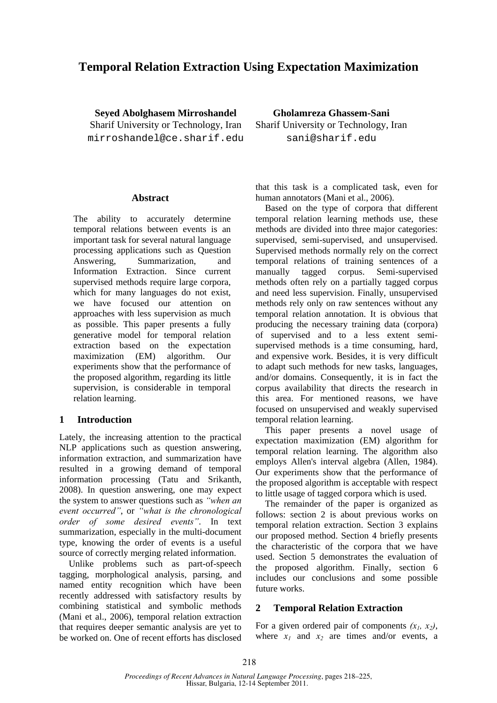# **Temporal Relation Extraction Using Expectation Maximization**

**Seyed Abolghasem Mirroshandel**  Sharif University or Technology, Iran mirroshandel@ce.sharif.edu

### **Abstract**

The ability to accurately determine temporal relations between events is an important task for several natural language processing applications such as Question Answering, Summarization, and Information Extraction. Since current supervised methods require large corpora, which for many languages do not exist, we have focused our attention on approaches with less supervision as much as possible. This paper presents a fully generative model for temporal relation extraction based on the expectation maximization (EM) algorithm. Our experiments show that the performance of the proposed algorithm, regarding its little supervision, is considerable in temporal relation learning.

### **1 Introduction**

Lately, the increasing attention to the practical NLP applications such as question answering, information extraction, and summarization have resulted in a growing demand of temporal information processing (Tatu and Srikanth, 2008). In question answering, one may expect the system to answer questions such as *"when an event occurred"*, or *"what is the chronological order of some desired events"*. In text summarization, especially in the multi-document type, knowing the order of events is a useful source of correctly merging related information.

Unlike problems such as part-of-speech tagging, morphological analysis, parsing, and named entity recognition which have been recently addressed with satisfactory results by combining statistical and symbolic methods (Mani et al., 2006), temporal relation extraction that requires deeper semantic analysis are yet to be worked on. One of recent efforts has disclosed

**Gholamreza Ghassem-Sani**  Sharif University or Technology, Iran sani@sharif.edu

that this task is a complicated task, even for human annotators (Mani et al., 2006).

Based on the type of corpora that different temporal relation learning methods use, these methods are divided into three major categories: supervised, semi-supervised, and unsupervised. Supervised methods normally rely on the correct temporal relations of training sentences of a manually tagged corpus. Semi-supervised methods often rely on a partially tagged corpus and need less supervision. Finally, unsupervised methods rely only on raw sentences without any temporal relation annotation. It is obvious that producing the necessary training data (corpora) of supervised and to a less extent semisupervised methods is a time consuming, hard, and expensive work. Besides, it is very difficult to adapt such methods for new tasks, languages, and/or domains. Consequently, it is in fact the corpus availability that directs the research in this area. For mentioned reasons, we have focused on unsupervised and weakly supervised temporal relation learning.

This paper presents a novel usage of expectation maximization (EM) algorithm for temporal relation learning. The algorithm also employs Allen's interval algebra (Allen, 1984). Our experiments show that the performance of the proposed algorithm is acceptable with respect to little usage of tagged corpora which is used.

The remainder of the paper is organized as follows: section 2 is about previous works on temporal relation extraction. Section 3 explains our proposed method. Section 4 briefly presents the characteristic of the corpora that we have used. Section 5 demonstrates the evaluation of the proposed algorithm. Finally, section 6 includes our conclusions and some possible future works.

### **2 Temporal Relation Extraction**

For a given ordered pair of components  $(x_1, x_2)$ , where  $x_1$  and  $x_2$  are times and/or events, a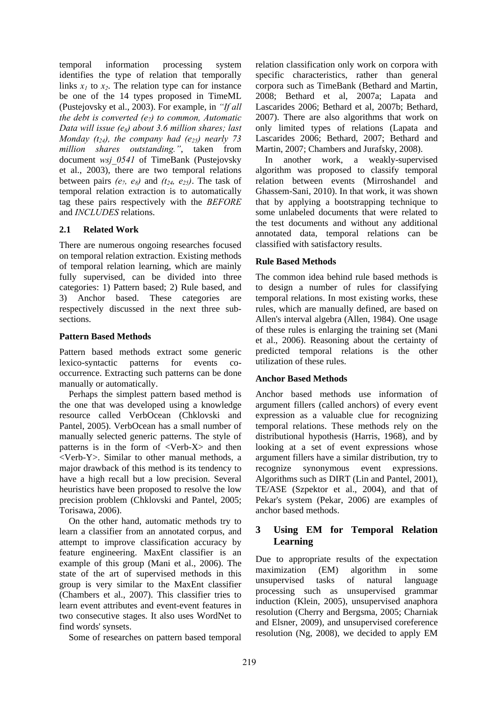temporal information processing system identifies the type of relation that temporally links  $x_1$  to  $x_2$ . The relation type can for instance be one of the 14 types proposed in TimeML (Pustejovsky et al., 2003). For example, in *"If all the debt is converted (e<sub>7</sub>) to common, Automatic Data will issue (e8) about 3.6 million shares; last Monday (t<sub>24</sub>), the company had (e<sub>25</sub>) nearly 73 million shares outstanding."*, taken from document *wsj\_0541* of TimeBank (Pustejovsky et al., 2003), there are two temporal relations between pairs  $(e_7, e_8)$  and  $(t_{24}, e_{25})$ . The task of temporal relation extraction is to automatically tag these pairs respectively with the *BEFORE* and *INCLUDES* relations.

## **2.1 Related Work**

There are numerous ongoing researches focused on temporal relation extraction. Existing methods of temporal relation learning, which are mainly fully supervised, can be divided into three categories: 1) Pattern based; 2) Rule based, and 3) Anchor based. These categories are respectively discussed in the next three subsections.

### **Pattern Based Methods**

Pattern based methods extract some generic lexico-syntactic patterns for events cooccurrence. Extracting such patterns can be done manually or automatically.

Perhaps the simplest pattern based method is the one that was developed using a knowledge resource called VerbOcean (Chklovski and Pantel, 2005). VerbOcean has a small number of manually selected generic patterns. The style of patterns is in the form of <Verb-X> and then <Verb-Y>. Similar to other manual methods, a major drawback of this method is its tendency to have a high recall but a low precision. Several heuristics have been proposed to resolve the low precision problem (Chklovski and Pantel, 2005; Torisawa, 2006).

On the other hand, automatic methods try to learn a classifier from an annotated corpus, and attempt to improve classification accuracy by feature engineering. MaxEnt classifier is an example of this group (Mani et al., 2006). The state of the art of supervised methods in this group is very similar to the MaxEnt classifier (Chambers et al., 2007). This classifier tries to learn event attributes and event-event features in two consecutive stages. It also uses WordNet to find words' synsets.

Some of researches on pattern based temporal

relation classification only work on corpora with specific characteristics, rather than general corpora such as TimeBank (Bethard and Martin, 2008; Bethard et al, 2007a; Lapata and Lascarides 2006; Bethard et al, 2007b; Bethard, 2007). There are also algorithms that work on only limited types of relations (Lapata and Lascarides 2006; Bethard, 2007; Bethard and Martin, 2007; Chambers and Jurafsky, 2008).

In another work, a weakly-supervised algorithm was proposed to classify temporal relation between events (Mirroshandel and Ghassem-Sani, 2010). In that work, it was shown that by applying a bootstrapping technique to some unlabeled documents that were related to the test documents and without any additional annotated data, temporal relations can be classified with satisfactory results.

## **Rule Based Methods**

The common idea behind rule based methods is to design a number of rules for classifying temporal relations. In most existing works, these rules, which are manually defined, are based on Allen's interval algebra (Allen, 1984). One usage of these rules is enlarging the training set (Mani et al., 2006). Reasoning about the certainty of predicted temporal relations is the other utilization of these rules.

## **Anchor Based Methods**

Anchor based methods use information of argument fillers (called anchors) of every event expression as a valuable clue for recognizing temporal relations. These methods rely on the distributional hypothesis (Harris, 1968), and by looking at a set of event expressions whose argument fillers have a similar distribution, try to recognize synonymous event expressions. Algorithms such as DIRT (Lin and Pantel, 2001), TE/ASE (Szpektor et al., 2004), and that of Pekar's system (Pekar, 2006) are examples of anchor based methods.

## **3 Using EM for Temporal Relation Learning**

Due to appropriate results of the expectation maximization (EM) algorithm in some unsupervised tasks of natural language processing such as unsupervised grammar induction (Klein, 2005), unsupervised anaphora resolution (Cherry and Bergsma, 2005; Charniak and Elsner, 2009), and unsupervised coreference resolution (Ng, 2008), we decided to apply EM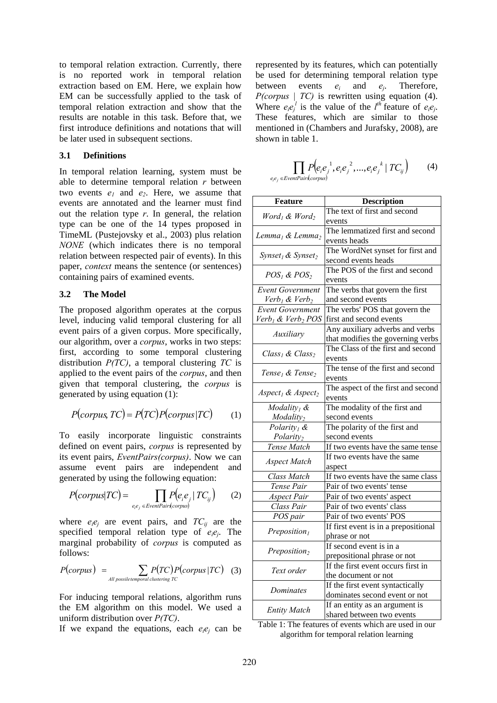to temporal relation extraction. Currently, there is no reported work in temporal relation extraction based on EM. Here, we explain how EM can be successfully applied to the task of temporal relation extraction and show that the results are notable in this task. Before that, we first introduce definitions and notations that will be later used in subsequent sections.

#### **3.1 Definitions**

In temporal relation learning, system must be able to determine temporal relation *r* between two events  $e_1$  and  $e_2$ . Here, we assume that events are annotated and the learner must find out the relation type *r*. In general, the relation type can be one of the 14 types proposed in TimeML (Pustejovsky et al., 2003) plus relation *NONE* (which indicates there is no temporal relation between respected pair of events). In this paper, *context* means the sentence (or sentences) containing pairs of examined events.

#### **3.2 The Model**

The proposed algorithm operates at the corpus level, inducing valid temporal clustering for all event pairs of a given corpus. More specifically, our algorithm, over a *corpus*, works in two steps: first, according to some temporal clustering distribution *P(TC)*, a temporal clustering *TC* is applied to the event pairs of the *corpus*, and then given that temporal clustering, the *corpus* is generated by using equation (1):

$$
P(corpus, TC) = P(TC)P(corpus|TC)
$$
 (1)

To easily incorporate linguistic constraints defined on event pairs, *corpus* is represented by its event pairs, *EventPairs(corpus)*. Now we can assume event pairs are independent and generated by using the following equation:

$$
P(corpus|TC) = \prod_{e_i e_j \in EventPair(sorpus)} P(e_i e_j | TC_{ij})
$$
 (2)

where  $e_i e_j$  are event pairs, and  $TC_{ij}$  are the specified temporal relation type of *eiej*. The marginal probability of *corpus* is computed as follows:

$$
P(corpus) = \sum_{\text{All possible temporal clustering TC}} P(TC) P(corpus | TC)
$$
 (3)

For inducing temporal relations, algorithm runs the EM algorithm on this model. We used a uniform distribution over *P(TC)*.

If we expand the equations, each  $e_i e_j$  can be

represented by its features, which can potentially be used for determining temporal relation type between events *ei* and *ej*. Therefore, *P(corpus | TC)* is rewritten using equation (4). Where  $e_i e_j^l$  is the value of the  $l^{th}$  feature of  $e_i e_j$ . These features, which are similar to those mentioned in (Chambers and Jurafsky, 2008), are shown in table 1.

$$
\prod_{e_ie_j \in EvenParis(corpus)} P\left(e_ie_j^{-1}, e_ie_j^{-2},...,e_ie_j^{-k} \mid TC_{ij}\right) \tag{4}
$$

| Feature                                   | <b>Description</b>                   |  |  |
|-------------------------------------------|--------------------------------------|--|--|
| $Word_1$ & Word,                          | The text of first and second         |  |  |
|                                           | events                               |  |  |
| Lemma <sub>1</sub> & Lemma <sub>2</sub>   | The lemmatized first and second      |  |  |
|                                           | events heads                         |  |  |
|                                           | The WordNet synset for first and     |  |  |
| Synset <sub>1</sub> & Synset <sub>2</sub> | second events heads                  |  |  |
| $POS_{1}$ & $POS_{2}$                     | The POS of the first and second      |  |  |
|                                           | events                               |  |  |
| <b>Event Government</b>                   | The verbs that govern the first      |  |  |
| Verb <sub>1</sub> & Verb <sub>2</sub>     | and second events                    |  |  |
| <b>Event Government</b>                   | The verbs' POS that govern the       |  |  |
| Verb <sub>1</sub> & Verb <sub>2</sub> POS | first and second events              |  |  |
| Auxiliary                                 | Any auxiliary adverbs and verbs      |  |  |
|                                           | that modifies the governing verbs    |  |  |
| Class <sub>1</sub> & Class <sub>2</sub>   | The Class of the first and second    |  |  |
|                                           | events                               |  |  |
|                                           | The tense of the first and second    |  |  |
| Tense <sub>1</sub> & Tense <sub>2</sub>   | events                               |  |  |
|                                           | The aspect of the first and second   |  |  |
| Aspect <sub>1</sub> & Aspect <sub>2</sub> | events                               |  |  |
| Modality <sub>1</sub> &                   | The modality of the first and        |  |  |
| Modality <sub>2</sub>                     | second events                        |  |  |
| Polarity <sub>1</sub> &                   | The polarity of the first and        |  |  |
| Polarity <sub>2</sub>                     | second events                        |  |  |
| Tense Match                               | If two events have the same tense    |  |  |
| <b>Aspect Match</b>                       | If two events have the same          |  |  |
|                                           | aspect                               |  |  |
| Class Match                               | If two events have the same class    |  |  |
| Tense Pair                                | Pair of two events' tense            |  |  |
| <b>Aspect Pair</b>                        | Pair of two events' aspect           |  |  |
| Class Pair                                | Pair of two events' class            |  |  |
| POS pair                                  | Pair of two events' POS              |  |  |
| Preposition <sub>1</sub>                  | If first event is in a prepositional |  |  |
|                                           | phrase or not                        |  |  |
| Preposition <sub>2</sub>                  | If second event is in a              |  |  |
|                                           | prepositional phrase or not          |  |  |
| Text order                                | If the first event occurs first in   |  |  |
|                                           | the document or not                  |  |  |
| Dominates                                 | If the first event syntactically     |  |  |
|                                           | dominates second event or not        |  |  |
| <b>Entity Match</b>                       | If an entity as an argument is       |  |  |
|                                           | shared between two events            |  |  |

Table 1: The features of events which are used in our algorithm for temporal relation learning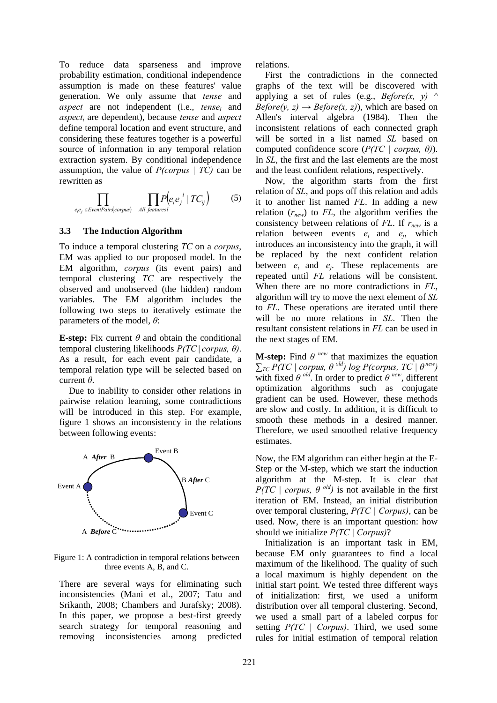To reduce data sparseness and improve probability estimation, conditional independence assumption is made on these features' value generation. We only assume that *tense* and *aspect* are not independent (i.e., *tensei* and *aspecti* are dependent), because *tense* and *aspect* define temporal location and event structure, and considering these features together is a powerful source of information in any temporal relation extraction system. By conditional independence assumption, the value of *P(corpus | TC)* can be rewritten as

$$
\prod_{e_i e_j \in EventPair(s corpus)} \prod_{All\ features l} P\left(e_i e_j^{-l} | TC_{ij}\right) \tag{5}
$$

#### **3.3 The Induction Algorithm**

To induce a temporal clustering *TC* on a *corpus*, EM was applied to our proposed model. In the EM algorithm, *corpus* (its event pairs) and temporal clustering *TC* are respectively the observed and unobserved (the hidden) random variables. The EM algorithm includes the following two steps to iteratively estimate the parameters of the model, *θ*:

**E-step:** Fix current  $\theta$  and obtain the conditional temporal clustering likelihoods *P(TC.| corpus, θ)*. As a result, for each event pair candidate, a temporal relation type will be selected based on current *θ*.

Due to inability to consider other relations in pairwise relation learning, some contradictions will be introduced in this step. For example, figure 1 shows an inconsistency in the relations between following events:



Figure 1: A contradiction in temporal relations between three events A, B, and C.

There are several ways for eliminating such inconsistencies (Mani et al., 2007; Tatu and Srikanth, 2008; Chambers and Jurafsky; 2008). In this paper, we propose a best-first greedy search strategy for temporal reasoning and removing inconsistencies among predicted

relations.

First the contradictions in the connected graphs of the text will be discovered with applying a set of rules (e.g., *Before(x, y)*  $\wedge$  $Before(y, z) \rightarrow Before(x, z)$ , which are based on Allen's interval algebra (1984). Then the inconsistent relations of each connected graph will be sorted in a list named *SL* based on computed confidence score (*P(TC | corpus, θ)*). In *SL*, the first and the last elements are the most and the least confident relations, respectively.

Now, the algorithm starts from the first relation of *SL*, and pops off this relation and adds it to another list named *FL*. In adding a new relation  $(r_{new})$  to  $FL$ , the algorithm verifies the consistency between relations of *FL*. If *rnew* is a relation between events *ei* and *ej*, which introduces an inconsistency into the graph, it will be replaced by the next confident relation between *ei* and *ej*. These replacements are repeated until *FL* relations will be consistent. When there are no more contradictions in *FL*, algorithm will try to move the next element of *SL* to *FL*. These operations are iterated until there will be no more relations in *SL*. Then the resultant consistent relations in *FL* can be used in the next stages of EM.

**M-step:** Find  $\theta$ <sup>*new*</sup> that maximizes the equation  $\sum_{TC} P(TC \mid corpus, θ$ <sup>old</sup>) log P(corpus, TC  $\mid θ^{new}$ ) with fixed  $\theta$  <sup>old</sup>. In order to predict  $\theta$  <sup>new</sup>, different optimization algorithms such as conjugate gradient can be used. However, these methods are slow and costly. In addition, it is difficult to smooth these methods in a desired manner. Therefore, we used smoothed relative frequency estimates.

Now, the EM algorithm can either begin at the E-Step or the M-step, which we start the induction algorithm at the M-step. It is clear that *P(TC | corpus,*  $\theta$  *<sup>old</sup>)* is not available in the first iteration of EM. Instead, an initial distribution over temporal clustering, *P(TC | Corpus)*, can be used. Now, there is an important question: how should we initialize *P(TC | Corpus)*?

Initialization is an important task in EM, because EM only guarantees to find a local maximum of the likelihood. The quality of such a local maximum is highly dependent on the initial start point. We tested three different ways of initialization: first, we used a uniform distribution over all temporal clustering. Second, we used a small part of a labeled corpus for setting *P(TC | Corpus)*. Third, we used some rules for initial estimation of temporal relation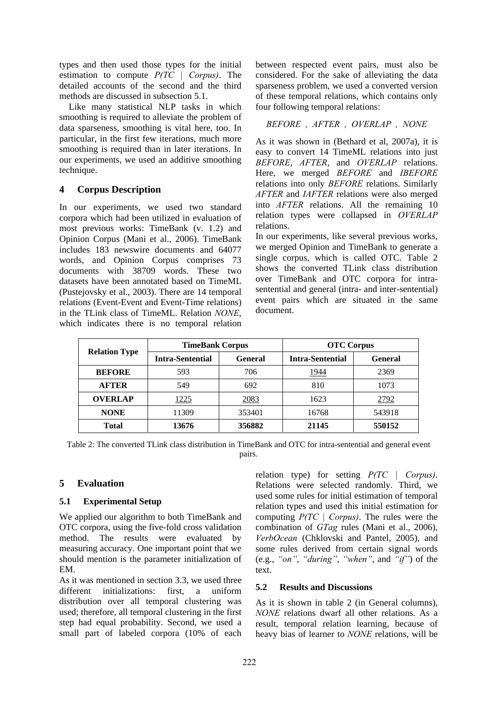types and then used those types for the initial estimation to compute *P(TC | Corpus)*. The detailed accounts of the second and the third methods are discussed in subsection 5.1.

Like many statistical NLP tasks in which smoothing is required to alleviate the problem of data sparseness, smoothing is vital here, too. In particular, in the first few iterations, much more smoothing is required than in later iterations. In our experiments, we used an additive smoothing technique.

## **4 Corpus Description**

In our experiments, we used two standard corpora which had been utilized in evaluation of most previous works: TimeBank (v. 1.2) and Opinion Corpus (Mani et al., 2006). TimeBank includes 183 newswire documents and 64077 words, and Opinion Corpus comprises 73 documents with 38709 words. These two datasets have been annotated based on TimeML (Pustejovsky et al., 2003). There are 14 temporal relations (Event-Event and Event-Time relations) in the TLink class of TimeML. Relation *NONE*, which indicates there is no temporal relation between respected event pairs, must also be considered. For the sake of alleviating the data sparseness problem, we used a converted version of these temporal relations, which contains only four following temporal relations:

## *BEFORE , AFTER , OVERLAP , NONE*

As it was shown in (Bethard et al, 2007a), it is easy to convert 14 TimeML relations into just *BEFORE*, *AFTER*, and *OVERLAP* relations. Here, we merged *BEFORE* and *IBEFORE* relations into only *BEFORE* relations. Similarly *AFTER* and *IAFTER* relations were also merged into *AFTER* relations. All the remaining 10 relation types were collapsed in *OVERLAP* relations.

In our experiments, like several previous works, we merged Opinion and TimeBank to generate a single corpus, which is called OTC. Table 2 shows the converted TLink class distribution over TimeBank and OTC corpora for intrasentential and general (intra- and inter-sentential) event pairs which are situated in the same document.

| <b>Relation Type</b> | <b>TimeBank Corpus</b>  |                | <b>OTC Corpus</b>       |                |
|----------------------|-------------------------|----------------|-------------------------|----------------|
|                      | <b>Intra-Sentential</b> | <b>General</b> | <b>Intra-Sentential</b> | <b>General</b> |
| <b>BEFORE</b>        | 593                     | 706            | 1944                    | 2369           |
| <b>AFTER</b>         | 549                     | 692            | 810                     | 1073           |
| <b>OVERLAP</b>       | 1225                    | 2083           | 1623                    | 2792           |
| <b>NONE</b>          | 11309                   | 353401         | 16768                   | 543918         |
| <b>Total</b>         | 13676                   | 356882         | 21145                   | 550152         |

Table 2: The converted TLink class distribution in TimeBank and OTC for intra-sentential and general event pairs.

## **5 Evaluation**

## **5.1 Experimental Setup**

We applied our algorithm to both TimeBank and OTC corpora, using the five-fold cross validation method. The results were evaluated by measuring accuracy. One important point that we should mention is the parameter initialization of EM.

As it was mentioned in section 3.3, we used three different initializations: first, a uniform distribution over all temporal clustering was used; therefore, all temporal clustering in the first step had equal probability. Second, we used a small part of labeled corpora (10% of each

relation type) for setting *P(TC | Corpus)*. Relations were selected randomly. Third, we used some rules for initial estimation of temporal relation types and used this initial estimation for computing *P(TC | Corpus)*. The rules were the combination of *GTag* rules (Mani et al., 2006), *VerbOcean* (Chklovski and Pantel, 2005), and some rules derived from certain signal words (e.g., *"on"*, *"during"*, *"when"*, and *"if"*) of the text.

## **5.2 Results and Discussions**

As it is shown in table 2 (in General columns), *NONE* relations dwarf all other relations. As a result, temporal relation learning, because of heavy bias of learner to *NONE* relations, will be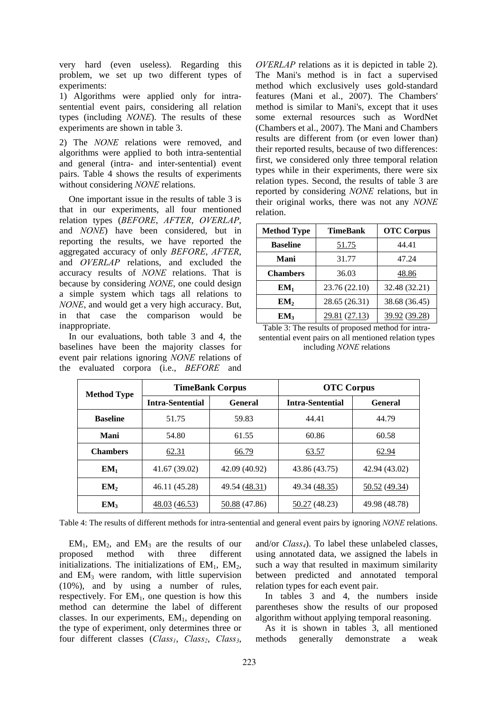very hard (even useless). Regarding this problem, we set up two different types of experiments:

1) Algorithms were applied only for intrasentential event pairs, considering all relation types (including *NONE*). The results of these experiments are shown in table 3.

2) The *NONE* relations were removed, and algorithms were applied to both intra-sentential and general (intra- and inter-sentential) event pairs. Table 4 shows the results of experiments without considering *NONE* relations.

One important issue in the results of table 3 is that in our experiments, all four mentioned relation types (*BEFORE*, *AFTER*, *OVERLAP*, and *NONE*) have been considered, but in reporting the results, we have reported the aggregated accuracy of only *BEFORE*, *AFTER*, and *OVERLAP* relations, and excluded the accuracy results of *NONE* relations. That is because by considering *NONE*, one could design a simple system which tags all relations to *NONE*, and would get a very high accuracy. But, in that case the comparison would be inappropriate.

In our evaluations, both table 3 and 4, the baselines have been the majority classes for event pair relations ignoring *NONE* relations of the evaluated corpora (i.e., *BEFORE* and

*OVERLAP* relations as it is depicted in table 2). The Mani's method is in fact a supervised method which exclusively uses gold-standard features (Mani et al., 2007). The Chambers' method is similar to Mani's, except that it uses some external resources such as WordNet (Chambers et al., 2007). The Mani and Chambers results are different from (or even lower than) their reported results, because of two differences: first, we considered only three temporal relation types while in their experiments, there were six relation types. Second, the results of table 3 are reported by considering *NONE* relations, but in their original works, there was not any *NONE* relation.

| <b>Method Type</b> | <b>TimeBank</b> | <b>OTC Corpus</b> |
|--------------------|-----------------|-------------------|
| <b>Baseline</b>    | 51.75           | 44.41             |
| Mani               | 31.77           | 47.24             |
| <b>Chambers</b>    | 36.03           | 48.86             |
| $EM_1$             | 23.76 (22.10)   | 32.48 (32.21)     |
| EM <sub>2</sub>    | 28.65 (26.31)   | 38.68 (36.45)     |
| EM <sub>3</sub>    | 29.81 (27.13)   | 39.92 (39.28)     |

Table 3: The results of proposed method for intrasentential event pairs on all mentioned relation types including *NONE* relations

| <b>Method Type</b> | <b>TimeBank Corpus</b>  |                | <b>OTC Corpus</b>       |                |
|--------------------|-------------------------|----------------|-------------------------|----------------|
|                    | <b>Intra-Sentential</b> | <b>General</b> | <b>Intra-Sentential</b> | <b>General</b> |
| <b>Baseline</b>    | 51.75                   | 59.83          | 44.41                   | 44.79          |
| Mani               | 54.80                   | 61.55          | 60.86                   | 60.58          |
| <b>Chambers</b>    | 62.31                   | 66.79          | 63.57                   | 62.94          |
| $EM_1$             | 41.67 (39.02)           | 42.09 (40.92)  | 43.86 (43.75)           | 42.94 (43.02)  |
| EM <sub>2</sub>    | 46.11 (45.28)           | 49.54 (48.31)  | 49.34 (48.35)           | 50.52(49.34)   |
| EM <sub>3</sub>    | 48.03 (46.53)           | 50.88 (47.86)  | 50.27 (48.23)           | 49.98 (48.78)  |

Table 4: The results of different methods for intra-sentential and general event pairs by ignoring *NONE* relations.

 $EM_1$ ,  $EM_2$ , and  $EM_3$  are the results of our oposed method with three different proposed method with three different initializations. The initializations of  $EM<sub>1</sub>$ ,  $EM<sub>2</sub>$ , and  $EM_3$  were random, with little supervision (10%), and by using a number of rules, respectively. For  $EM_1$ , one question is how this method can determine the label of different classes. In our experiments, EM1, depending on the type of experiment, only determines three or four different classes (*Class<sub>1</sub>*, *Class<sub>2</sub>*, *Class<sub>3</sub>*,

and/or *Class4*). To label these unlabeled classes, using annotated data, we assigned the labels in such a way that resulted in maximum similarity between predicted and annotated temporal relation types for each event pair.

In tables 3 and 4, the numbers inside parentheses show the results of our proposed algorithm without applying temporal reasoning.

As it is shown in tables 3, all mentioned methods generally demonstrate a weak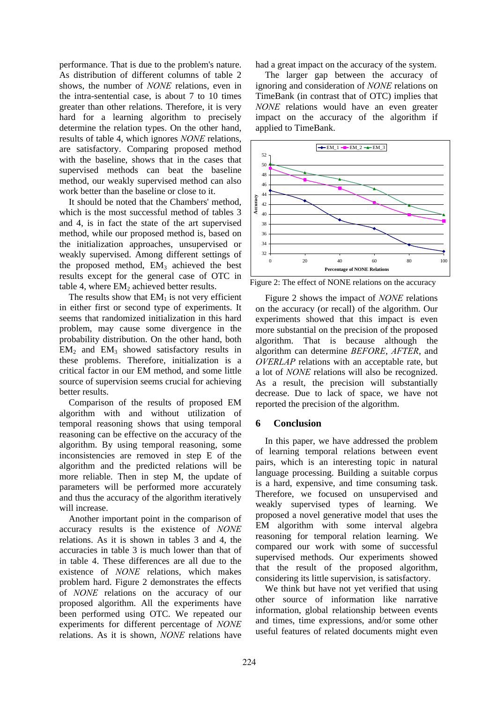performance. That is due to the problem's nature. As distribution of different columns of table 2 shows, the number of *NONE* relations, even in the intra-sentential case, is about 7 to 10 times greater than other relations. Therefore, it is very hard for a learning algorithm to precisely determine the relation types. On the other hand, results of table 4, which ignores *NONE* relations, are satisfactory. Comparing proposed method with the baseline, shows that in the cases that supervised methods can beat the baseline method, our weakly supervised method can also work better than the baseline or close to it.

It should be noted that the Chambers' method, which is the most successful method of tables 3 and 4, is in fact the state of the art supervised method, while our proposed method is, based on the initialization approaches, unsupervised or weakly supervised. Among different settings of the proposed method,  $EM_3$  achieved the best results except for the general case of OTC in table 4, where  $EM<sub>2</sub>$  achieved better results.

The results show that  $EM<sub>1</sub>$  is not very efficient in either first or second type of experiments. It seems that randomized initialization in this hard problem, may cause some divergence in the probability distribution. On the other hand, both  $EM<sub>2</sub>$  and  $EM<sub>3</sub>$  showed satisfactory results in these problems. Therefore, initialization is a critical factor in our EM method, and some little source of supervision seems crucial for achieving better results.

Comparison of the results of proposed EM algorithm with and without utilization of temporal reasoning shows that using temporal reasoning can be effective on the accuracy of the algorithm. By using temporal reasoning, some inconsistencies are removed in step E of the algorithm and the predicted relations will be more reliable. Then in step M, the update of parameters will be performed more accurately and thus the accuracy of the algorithm iteratively will increase.

Another important point in the comparison of accuracy results is the existence of *NONE* relations. As it is shown in tables 3 and 4, the accuracies in table 3 is much lower than that of in table 4. These differences are all due to the existence of *NONE* relations, which makes problem hard. Figure 2 demonstrates the effects of *NONE* relations on the accuracy of our proposed algorithm. All the experiments have been performed using OTC. We repeated our experiments for different percentage of *NONE* relations. As it is shown, *NONE* relations have

had a great impact on the accuracy of the system.

The larger gap between the accuracy of ignoring and consideration of *NONE* relations on TimeBank (in contrast that of OTC) implies that *NONE* relations would have an even greater impact on the accuracy of the algorithm if applied to TimeBank.



Figure 2: The effect of NONE relations on the accuracy

Figure 2 shows the impact of *NONE* relations on the accuracy (or recall) of the algorithm. Our experiments showed that this impact is even more substantial on the precision of the proposed algorithm. That is because although the algorithm can determine *BEFORE*, *AFTER*, and *OVERLAP* relations with an acceptable rate, but a lot of *NONE* relations will also be recognized. As a result, the precision will substantially decrease. Due to lack of space, we have not reported the precision of the algorithm.

## **6 Conclusion**

In this paper, we have addressed the problem of learning temporal relations between event pairs, which is an interesting topic in natural language processing. Building a suitable corpus is a hard, expensive, and time consuming task. Therefore, we focused on unsupervised and weakly supervised types of learning. We proposed a novel generative model that uses the EM algorithm with some interval algebra reasoning for temporal relation learning. We compared our work with some of successful supervised methods. Our experiments showed that the result of the proposed algorithm, considering its little supervision, is satisfactory.

We think but have not yet verified that using other source of information like narrative information, global relationship between events and times, time expressions, and/or some other useful features of related documents might even